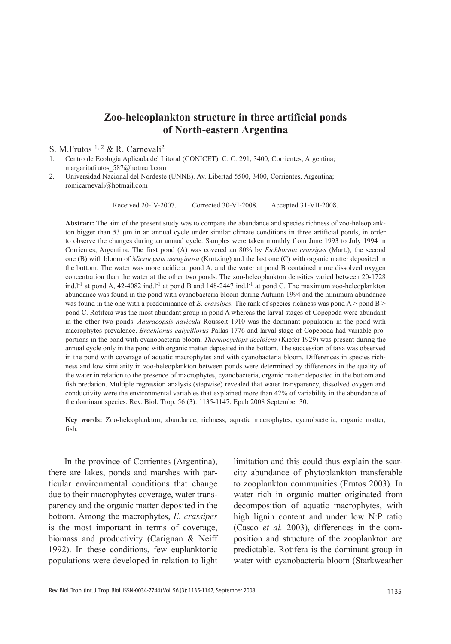# **Zoo-heleoplankton structure in three artificial ponds of North-eastern Argentina**

### S. M.Frutos <sup>1, 2</sup> & R. Carnevali<sup>2</sup>

- 1. Centro de Ecología Aplicada del Litoral (CONICET). C. C. 291, 3400, Corrientes, Argentina; margaritafrutos\_587@hotmail.com
- 2. Universidad Nacional del Nordeste (UNNE). Av. Libertad 5500, 3400, Corrientes, Argentina; romicarnevali@hotmail.com

Received 20-IV-2007. Corrected 30-VI-2008. Accepted 31-VII-2008.

**Abstract:** The aim of the present study was to compare the abundance and species richness of zoo-heleoplankton bigger than 53 µm in an annual cycle under similar climate conditions in three artificial ponds, in order to observe the changes during an annual cycle. Samples were taken monthly from June 1993 to July 1994 in Corrientes, Argentina. The first pond (A) was covered an 80% by *Eichhornia crassipes* (Mart.), the second one (B) with bloom of *Microcystis aeruginosa* (Kurtzing) and the last one (C) with organic matter deposited in the bottom. The water was more acidic at pond A, and the water at pond B contained more dissolved oxygen concentration than the water at the other two ponds. The zoo-heleoplankton densities varied between 20-1728 ind.l<sup>-1</sup> at pond A, 42-4082 ind.l<sup>-1</sup> at pond B and 148-2447 ind.l<sup>-1</sup> at pond C. The maximum zoo-heleoplankton abundance was found in the pond with cyanobacteria bloom during Autumn 1994 and the minimum abundance was found in the one with a predominance of *E. crassipes*. The rank of species richness was pond A > pond B > pond C. Rotifera was the most abundant group in pond A whereas the larval stages of Copepoda were abundant in the other two ponds. *Anuraeopsis navicula* Rousselt 1910 was the dominant population in the pond with macrophytes prevalence. *Brachionus calyciflorus* Pallas 1776 and larval stage of Copepoda had variable proportions in the pond with cyanobacteria bloom. *Thermocyclops decipiens* (Kiefer 1929) was present during the annual cycle only in the pond with organic matter deposited in the bottom. The succession of taxa was observed in the pond with coverage of aquatic macrophytes and with cyanobacteria bloom. Differences in species richness and low similarity in zoo-heleoplankton between ponds were determined by differences in the quality of the water in relation to the presence of macrophytes, cyanobacteria, organic matter deposited in the bottom and fish predation. Multiple regression analysis (stepwise) revealed that water transparency, dissolved oxygen and conductivity were the environmental variables that explained more than 42% of variability in the abundance of the dominant species. Rev. Biol. Trop. 56 (3): 1135-1147. Epub 2008 September 30.

**Key words:** Zoo-heleoplankton, abundance, richness, aquatic macrophytes, cyanobacteria, organic matter, fish.

In the province of Corrientes (Argentina), there are lakes, ponds and marshes with particular environmental conditions that change due to their macrophytes coverage, water transparency and the organic matter deposited in the bottom. Among the macrophytes, *E. crassipes*  is the most important in terms of coverage, biomass and productivity (Carignan & Neiff 1992). In these conditions, few euplanktonic populations were developed in relation to light

limitation and this could thus explain the scarcity abundance of phytoplankton transferable to zooplankton communities (Frutos 2003). In water rich in organic matter originated from decomposition of aquatic macrophytes, with high lignin content and under low N:P ratio (Casco *et al.* 2003), differences in the composition and structure of the zooplankton are predictable. Rotifera is the dominant group in water with cyanobacteria bloom (Starkweather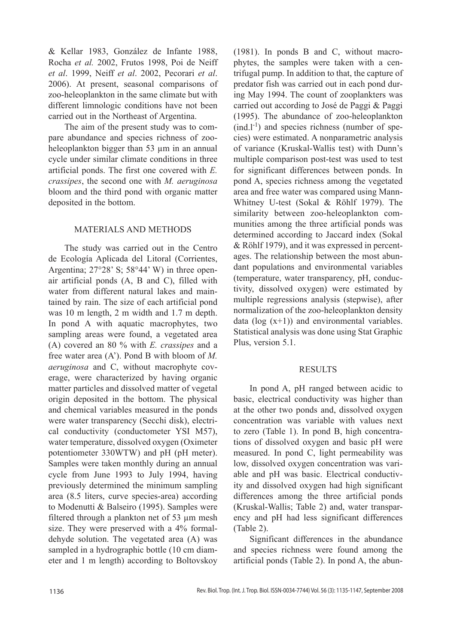& Kellar 1983, González de Infante 1988, Rocha *et al.* 2002, Frutos 1998, Poi de Neiff *et al*. 1999, Neiff *et al*. 2002, Pecorari *et al*. 2006). At present, seasonal comparisons of zoo-heleoplankton in the same climate but with different limnologic conditions have not been carried out in the Northeast of Argentina.

The aim of the present study was to compare abundance and species richness of zooheleoplankton bigger than 53  $\mu$ m in an annual cycle under similar climate conditions in three artificial ponds. The first one covered with *E. crassipes*, the second one with *M. aeruginosa* bloom and the third pond with organic matter deposited in the bottom.

### MATERIALS AND METHODS

The study was carried out in the Centro de Ecología Aplicada del Litoral (Corrientes, Argentina; 27°28' S; 58°44' W) in three openair artificial ponds (A, B and C), filled with water from different natural lakes and maintained by rain. The size of each artificial pond was 10 m length, 2 m width and 1.7 m depth. In pond A with aquatic macrophytes, two sampling areas were found, a vegetated area (A) covered an 80 % with *E. crassipes* and a free water area (A'). Pond B with bloom of *M. aeruginosa* and C, without macrophyte coverage, were characterized by having organic matter particles and dissolved matter of vegetal origin deposited in the bottom. The physical and chemical variables measured in the ponds were water transparency (Secchi disk), electrical conductivity (conductometer YSI M57), water temperature, dissolved oxygen (Oximeter potentiometer 330WTW) and pH (pH meter). Samples were taken monthly during an annual cycle from June 1993 to July 1994, having previously determined the minimum sampling area (8.5 liters, curve species-area) according to Modenutti & Balseiro (1995). Samples were filtered through a plankton net of 53 µm mesh size. They were preserved with a 4% formaldehyde solution. The vegetated area (A) was sampled in a hydrographic bottle (10 cm diameter and 1 m length) according to Boltovskoy (1981). In ponds B and C, without macrophytes, the samples were taken with a centrifugal pump. In addition to that, the capture of predator fish was carried out in each pond during May 1994. The count of zooplankters was carried out according to José de Paggi & Paggi (1995). The abundance of zoo-heleoplankton  $(ind.l<sup>-1</sup>)$  and species richness (number of species) were estimated. A nonparametric analysis of variance (Kruskal-Wallis test) with Dunn's multiple comparison post-test was used to test for significant differences between ponds. In pond A, species richness among the vegetated area and free water was compared using Mann-Whitney U-test (Sokal & Röhlf 1979). The similarity between zoo-heleoplankton communities among the three artificial ponds was determined according to Jaccard index (Sokal & Röhlf 1979), and it was expressed in percentages. The relationship between the most abundant populations and environmental variables (temperature, water transparency, pH, conductivity, dissolved oxygen) were estimated by multiple regressions analysis (stepwise), after normalization of the zoo-heleoplankton density data ( $log(x+1)$ ) and environmental variables. Statistical analysis was done using Stat Graphic Plus, version 5.1.

### RESULTS

In pond A, pH ranged between acidic to basic, electrical conductivity was higher than at the other two ponds and, dissolved oxygen concentration was variable with values next to zero (Table 1). In pond B, high concentrations of dissolved oxygen and basic pH were measured. In pond C, light permeability was low, dissolved oxygen concentration was variable and pH was basic. Electrical conductivity and dissolved oxygen had high significant differences among the three artificial ponds (Kruskal-Wallis; Table 2) and, water transparency and pH had less significant differences (Table 2).

Significant differences in the abundance and species richness were found among the artificial ponds (Table 2). In pond A, the abun-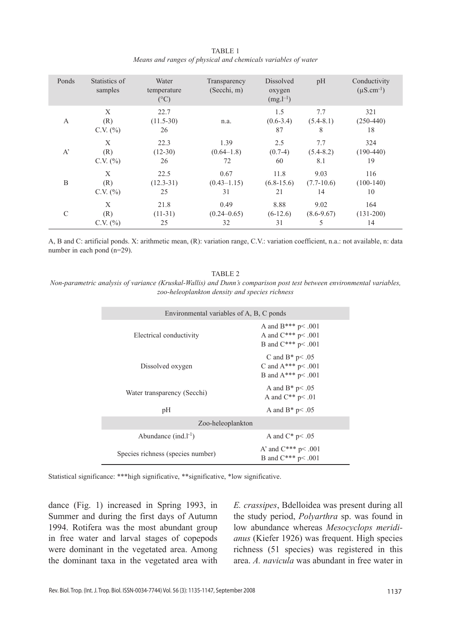| TABLE 1                                                       |  |  |  |  |
|---------------------------------------------------------------|--|--|--|--|
| Means and ranges of physical and chemicals variables of water |  |  |  |  |

| Ponds         | Statistics of<br>samples   | Water<br>temperature<br>$(^{\circ}C)$ | Transparency<br>(Secchi, m) | Dissolved<br>oxygen<br>$(mg.l^{-1})$ | pH                      | Conductivity<br>$(\mu S.cm^{-1})$ |
|---------------|----------------------------|---------------------------------------|-----------------------------|--------------------------------------|-------------------------|-----------------------------------|
| A             | X<br>(R)<br>$C.V.$ $(\% )$ | 22.7<br>$(11.5-30)$<br>26             | n.a.                        | 1.5<br>$(0.6-3.4)$<br>87             | 7.7<br>$(5.4-8.1)$<br>8 | 321<br>$(250-440)$<br>18          |
| $A^{\prime}$  | X                          | 22.3                                  | 1.39                        | 2.5                                  | 7.7                     | 324                               |
|               | (R)                        | $(12-30)$                             | $(0.64-1.8)$                | $(0.7-4)$                            | $(5.4 - 8.2)$           | $(190-440)$                       |
|               | $C.V.$ $(\%)$              | 26                                    | 72                          | 60                                   | 8.1                     | 19                                |
| B             | X                          | 22.5                                  | 0.67                        | 11.8                                 | 9.03                    | 116                               |
|               | (R)                        | $(12.3 - 31)$                         | $(0.43 - 1.15)$             | $(6.8 - 15.6)$                       | $(7.7-10.6)$            | $(100-140)$                       |
|               | $C.V.$ $(\%)$              | 25                                    | 31                          | 21                                   | 14                      | 10                                |
| $\mathcal{C}$ | X                          | 21.8                                  | 0.49                        | 8.88                                 | 9.02                    | 164                               |
|               | (R)                        | $(11-31)$                             | $(0.24 - 0.65)$             | $(6-12.6)$                           | $(8.6 - 9.67)$          | $(131-200)$                       |
|               | $C.V.$ $(\%)$              | 25                                    | 32                          | 31                                   | 5                       | 14                                |

A, B and C: artificial ponds. X: arithmetic mean, (R): variation range, C.V.: variation coefficient, n.a.: not available, n: data number in each pond (n=29).

#### TABLE 2

*Non-parametric analysis of variance (Kruskal-Wallis) and Dunn's comparison post test between environmental variables, zoo-heleoplankton density and species richness*

| Environmental variables of A, B, C ponds |                                                                            |  |  |
|------------------------------------------|----------------------------------------------------------------------------|--|--|
| Electrical conductivity                  | A and $B***p<.001$<br>A and $C^{***}$ p < .001<br>B and $C^{***}$ p < .001 |  |  |
| Dissolved oxygen                         | C and $B^*$ p< .05<br>C and $A***p<.001$<br>B and $A***p<.001$             |  |  |
| Water transparency (Secchi)              | A and $B^*$ p < .05<br>A and $C^{**}$ p < .01                              |  |  |
| pH                                       | A and $B^*$ p< .05                                                         |  |  |
| Zoo-heleoplankton                        |                                                                            |  |  |
| Abundance $(ind.l^{-1})$                 | A and $C^*$ p< .05                                                         |  |  |
| Species richness (species number)        | A' and $C^{***}$ p< .001<br>B and $C^{***}$ p< .001                        |  |  |

Statistical significance: \*\*\*high significative, \*\*significative, \*low significative.

dance (Fig. 1) increased in Spring 1993, in Summer and during the first days of Autumn 1994. Rotifera was the most abundant group in free water and larval stages of copepods were dominant in the vegetated area. Among the dominant taxa in the vegetated area with *E. crassipes*, Bdelloidea was present during all the study period, *Polyarthra* sp. was found in low abundance whereas *Mesocyclops meridianus* (Kiefer 1926) was frequent. High species richness (51 species) was registered in this area. *A. navicula* was abundant in free water in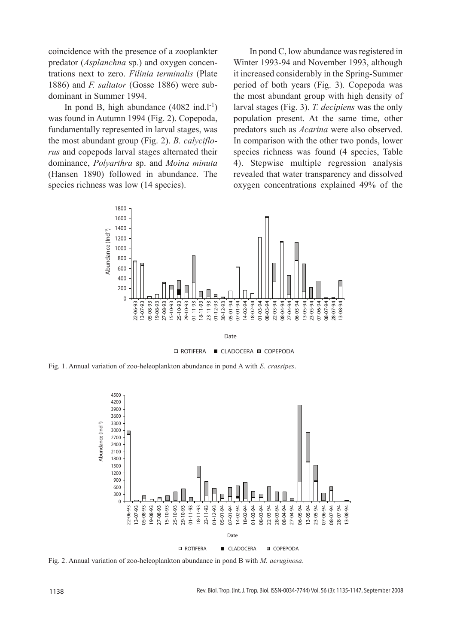coincidence with the presence of a zooplankter predator (*Asplanchna* sp.) and oxygen concentrations next to zero. *Filinia terminalis* (Plate 1886) and *F. saltator* (Gosse 1886) were subdominant in Summer 1994.

In pond B, high abundance  $(4082 \text{ ind.}1^{-1})$ was found in Autumn 1994 (Fig. 2). Copepoda, fundamentally represented in larval stages, was the most abundant group (Fig. 2). *B. calyciflorus* and copepods larval stages alternated their dominance, *Polyarthra* sp. and *Moina minuta*  (Hansen 1890) followed in abundance. The species richness was low  $(14 \text{ species})$ .

In pond C, low abundance was registered in Winter 1993-94 and November 1993, although it increased considerably in the Spring-Summer period of both years (Fig. 3). Copepoda was the most abundant group with high density of larval stages (Fig. 3). *T. decipiens* was the only population present. At the same time, other predators such as *Acarina* were also observed. In comparison with the other two ponds, lower species richness was found (4 species, Table 4). Stepwise multiple regression analysis revealed that water transparency and dissolved oxygen concentrations explained 49% of the



**□ ROTIFERA ■ CLADOCERA ■ COPEPODA** 

Fig. 1. Annual variation of zoo-heleoplankton abundance in pond A with *E. crassipes*.



Fig. 2. Annual variation of zoo-heleoplankton abundance in pond B with *M. aeruginosa*.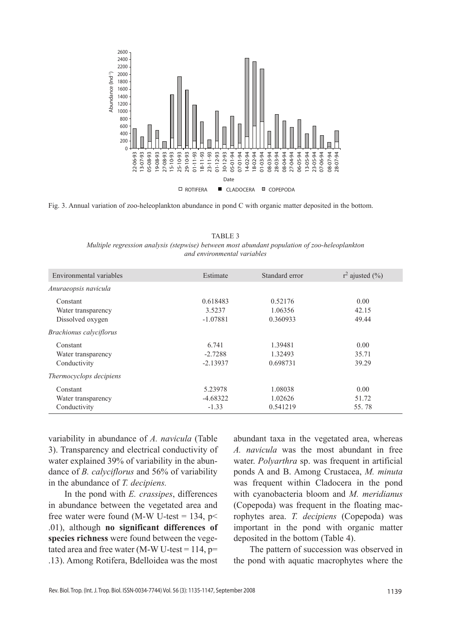

Fig. 3. Annual variation of zoo-heleoplankton abundance in pond C with organic matter deposited in the bottom.

TABLE 3 *Multiple regression analysis (stepwise) between most abundant population of zoo-heleoplankton and environmental variables*

| Environmental variables        | Estimate   | Standard error | $r^2$ ajusted $(\frac{9}{6})$ |
|--------------------------------|------------|----------------|-------------------------------|
| Anuraeopsis navicula           |            |                |                               |
| Constant                       | 0.618483   | 0.52176        | 0.00                          |
| Water transparency             | 3.5237     | 1.06356        | 42.15                         |
| Dissolved oxygen               | $-1.07881$ | 0.360933       | 49.44                         |
| <i>Brachionus calyciflorus</i> |            |                |                               |
| Constant                       | 6.741      | 1.39481        | 0.00                          |
| Water transparency             | $-2.7288$  | 1.32493        | 35.71                         |
| Conductivity                   | $-2.13937$ | 0.698731       | 39.29                         |
| Thermocyclops decipiens        |            |                |                               |
| Constant                       | 5.23978    | 1.08038        | 0.00                          |
| Water transparency             | $-4.68322$ | 1.02626        | 51.72                         |
| Conductivity                   | $-1.33$    | 0.541219       | 55.78                         |

variability in abundance of *A. navicula* (Table 3). Transparency and electrical conductivity of water explained 39% of variability in the abundance of *B. calyciflorus* and 56% of variability in the abundance of *T. decipiens.*

In the pond with *E. crassipes*, differences in abundance between the vegetated area and free water were found (M-W U-test = 134,  $p$  < .01), although **no significant differences of species richness** were found between the vegetated area and free water (M-W U-test =  $114$ , p= .13). Among Rotifera, Bdelloidea was the most abundant taxa in the vegetated area, whereas *A. navicula* was the most abundant in free water. *Polyarthra* sp. was frequent in artificial ponds A and B. Among Crustacea, *M. minuta* was frequent within Cladocera in the pond with cyanobacteria bloom and *M. meridianus* (Copepoda) was frequent in the floating macrophytes area. *T. decipiens* (Copepoda) was important in the pond with organic matter deposited in the bottom (Table 4).

The pattern of succession was observed in the pond with aquatic macrophytes where the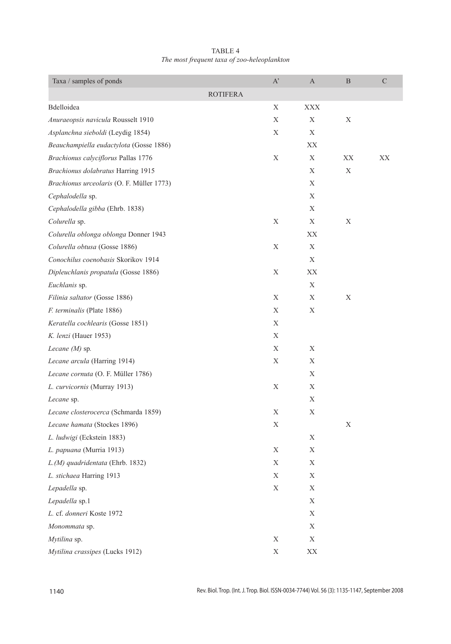| TABLE 4                                     |
|---------------------------------------------|
| The most frequent taxa of zoo-heleoplankton |

| Taxa / samples of ponds                   | $\mathbf{A}^{\prime}$ | A                      | B  | $\mathbf C$ |
|-------------------------------------------|-----------------------|------------------------|----|-------------|
|                                           | <b>ROTIFERA</b>       |                        |    |             |
| Bdelloidea                                | Х                     | <b>XXX</b>             |    |             |
| Anuraeopsis navicula Rousselt 1910        | $\mathbf X$           | Х                      | X  |             |
| Asplanchna sieboldi (Leydig 1854)         | Х                     | Х                      |    |             |
| Beauchampiella eudactylota (Gosse 1886)   |                       | XХ                     |    |             |
| Brachionus calyciflorus Pallas 1776       | Χ                     | X                      | XX | XX          |
| Brachionus dolabratus Harring 1915        |                       | Χ                      | Х  |             |
| Brachionus urceolaris (O. F. Müller 1773) |                       | Χ                      |    |             |
| Cephalodella sp.                          |                       | Χ                      |    |             |
| Cephalodella gibba (Ehrb. 1838)           |                       | Χ                      |    |             |
| Colurella sp.                             | Χ                     | X                      | Х  |             |
| Colurella oblonga oblonga Donner 1943     |                       | XХ                     |    |             |
| Colurella obtusa (Gosse 1886)             | X                     | X                      |    |             |
| Conochilus coenobasis Skorikov 1914       |                       | Χ                      |    |             |
| Dipleuchlanis propatula (Gosse 1886)      | Х                     | XX                     |    |             |
| Euchlanis sp.                             |                       | Χ                      |    |             |
| Filinia saltator (Gosse 1886)             | Χ                     | X                      | X  |             |
| F. terminalis (Plate 1886)                | Χ                     | X                      |    |             |
| Keratella cochlearis (Gosse 1851)         | Χ                     |                        |    |             |
| K. lenzi (Hauer 1953)                     | Х                     |                        |    |             |
| Lecane $(M)$ sp.                          | Χ                     | Χ                      |    |             |
| Lecane arcula (Harring 1914)              | Χ                     | Χ                      |    |             |
| Lecane cornuta (O. F. Müller 1786)        |                       | Х                      |    |             |
| L. curvicornis (Murray 1913)              | X                     | X                      |    |             |
| Lecane sp.                                |                       | Х                      |    |             |
| Lecane closterocerca (Schmarda 1859)      | Χ                     | Х                      |    |             |
| Lecane hamata (Stockes 1896)              | Χ                     |                        | X  |             |
| L. ludwigi (Eckstein 1883)                |                       | Χ                      |    |             |
| L. papuana (Murria 1913)                  | Χ                     | Χ                      |    |             |
| L.(M) quadridentata (Ehrb. 1832)          | Х                     | Х                      |    |             |
| L. stichaea Harring 1913                  | Х                     | X                      |    |             |
| Lepadella sp.                             | Х                     | X                      |    |             |
| Lepadella sp.1                            |                       | $\mathbf X$            |    |             |
| L. cf. donneri Koste 1972                 |                       | $\mathbf X$            |    |             |
| Monommata sp.                             |                       | X                      |    |             |
| Mytilina sp.                              | X                     | X                      |    |             |
| Mytilina crassipes (Lucks 1912)           | $\mathbf X$           | $\mathbf{X}\mathbf{X}$ |    |             |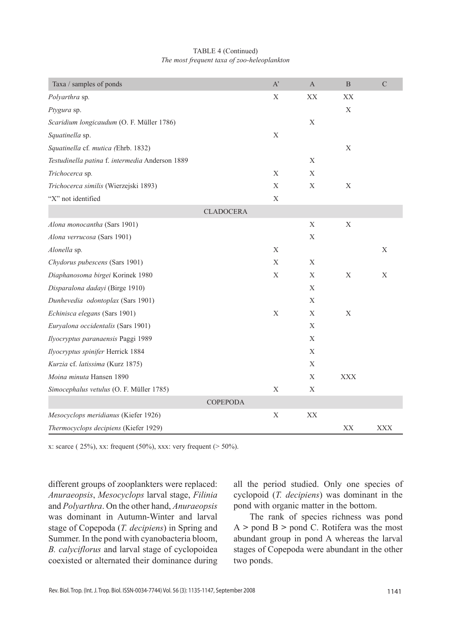#### TABLE 4 (Continued) *The most frequent taxa of zoo-heleoplankton*

| Taxa / samples of ponds                         | $A^{\prime}$ | $\overline{A}$ | $\mathbf{B}$ | $\mathcal{C}$ |
|-------------------------------------------------|--------------|----------------|--------------|---------------|
| Polyarthra sp.                                  | X            | XX             | XX           |               |
| Ptygura sp.                                     |              |                | X            |               |
| Scaridium longicaudum (O. F. Müller 1786)       |              | X              |              |               |
| Squatinella sp.                                 | X            |                |              |               |
| Squatinella cf. mutica (Ehrb. 1832)             |              |                | X            |               |
| Testudinella patina f. intermedia Anderson 1889 |              | $\mathbf{X}$   |              |               |
| Trichocerca sp.                                 | X            | X              |              |               |
| Trichocerca similis (Wierzejski 1893)           | X            | X              | X            |               |
| "X" not identified                              | X            |                |              |               |
| <b>CLADOCERA</b>                                |              |                |              |               |
| Alona monocantha (Sars 1901)                    |              | X              | X            |               |
| Alona verrucosa (Sars 1901)                     |              | X              |              |               |
| Alonella sp.                                    | X            |                |              | X             |
| Chydorus pubescens (Sars 1901)                  | X            | X              |              |               |
| Diaphanosoma birgei Korinek 1980                | X            | $\mathbf{X}$   | X            | X             |
| Disparalona dadayi (Birge 1910)                 |              | X              |              |               |
| Dunhevedia odontoplax (Sars 1901)               |              | X              |              |               |
| Echinisca elegans (Sars 1901)                   | X            | X              | X            |               |
| Euryalona occidentalis (Sars 1901)              |              | X              |              |               |
| Ilyocryptus paranaensis Paggi 1989              |              | X              |              |               |
| Ilyocryptus spinifer Herrick 1884               |              | X              |              |               |
| Kurzia cf. latissima (Kurz 1875)                |              | X              |              |               |
| Moina minuta Hansen 1890                        |              | X              | <b>XXX</b>   |               |
| Simocephalus vetulus (O. F. Müller 1785)        | X            | X              |              |               |
| <b>COPEPODA</b>                                 |              |                |              |               |
| Mesocyclops meridianus (Kiefer 1926)            | X            | XX             |              |               |
| Thermocyclops decipiens (Kiefer 1929)           |              |                | XX           | <b>XXX</b>    |

x: scarce (  $25\%$ ), xx: frequent (50%), xxx: very frequent (>  $50\%$ ).

different groups of zooplankters were replaced: *Anuraeopsis*, *Mesocyclops* larval stage, *Filinia*  and *Polyarthra*. On the other hand, *Anuraeopsis* was dominant in Autumn-Winter and larval stage of Copepoda (*T. decipiens*) in Spring and Summer. In the pond with cyanobacteria bloom, *B. calyciflorus* and larval stage of cyclopoidea coexisted or alternated their dominance during

all the period studied. Only one species of cyclopoid (*T. decipiens*) was dominant in the pond with organic matter in the bottom.

The rank of species richness was pond A **>** pond B **>** pond C. Rotifera was the most abundant group in pond A whereas the larval stages of Copepoda were abundant in the other two ponds.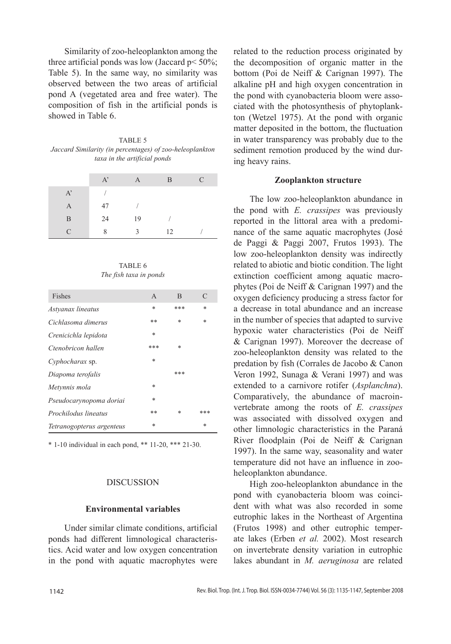Similarity of zoo-heleoplankton among the three artificial ponds was low (Jaccard  $p < 50\%$ ; Table 5). In the same way, no similarity was observed between the two areas of artificial pond A (vegetated area and free water). The composition of fish in the artificial ponds is showed in Table 6.

TABLE 5 *Jaccard Similarity (in percentages) of zoo-heleoplankton taxa in the artificial ponds*

|              | $A^{\prime}$ | A            | B  | $\mathcal{C}$ |
|--------------|--------------|--------------|----|---------------|
| $A^{\prime}$ |              |              |    |               |
| A            | 47           |              |    |               |
| B            | 24           | 19           |    |               |
| $\subset$    | 8            | $\mathbf{R}$ | 12 |               |

TABLE 6 *The fish taxa in ponds*

| Fishes                    | $\mathsf{A}$ | B      | $\mathcal{C}$ |
|---------------------------|--------------|--------|---------------|
| Astyanax lineatus         | *            | ***    | *             |
| Cichlasoma dimerus        | **           | *      | *             |
| Crenicichla lepidota      | $\ast$       |        |               |
| Ctenobricon hallen        | ***          | $\ast$ |               |
| Cyphocharax sp.           | $\ast$       |        |               |
| Diapoma terofalis         |              | ***    |               |
| Metynnis mola             | $\ast$       |        |               |
| Pseudocarynopoma doriai   | $\ast$       |        |               |
| Prochilodus lineatus      | **           | *      | ***           |
| Tetranogopterus argenteus | $\ast$       |        | *             |

\* 1-10 individual in each pond, \*\* 11-20, \*\*\* 21-30.

### DISCUSSION

### **Environmental variables**

Under similar climate conditions, artificial ponds had different limnological characteristics. Acid water and low oxygen concentration in the pond with aquatic macrophytes were

related to the reduction process originated by the decomposition of organic matter in the bottom (Poi de Neiff & Carignan 1997). The alkaline pH and high oxygen concentration in the pond with cyanobacteria bloom were associated with the photosynthesis of phytoplankton (Wetzel 1975). At the pond with organic matter deposited in the bottom, the fluctuation in water transparency was probably due to the sediment remotion produced by the wind during heavy rains.

#### **Zooplankton structure**

The low zoo-heleoplankton abundance in the pond with *E. crassipes* was previously reported in the littoral area with a predominance of the same aquatic macrophytes (José de Paggi & Paggi 2007, Frutos 1993). The low zoo-heleoplankton density was indirectly related to abiotic and biotic condition. The light extinction coefficient among aquatic macrophytes (Poi de Neiff & Carignan 1997) and the oxygen deficiency producing a stress factor for a decrease in total abundance and an increase in the number of species that adapted to survive hypoxic water characteristics (Poi de Neiff & Carignan 1997). Moreover the decrease of zoo-heleoplankton density was related to the predation by fish (Corrales de Jacobo & Canon Veron 1992, Sunaga & Verani 1997) and was extended to a carnivore rotifer (*Asplanchna*). Comparatively, the abundance of macroinvertebrate among the roots of *E. crassipes* was associated with dissolved oxygen and other limnologic characteristics in the Paraná River floodplain (Poi de Neiff & Carignan 1997). In the same way, seasonality and water temperature did not have an influence in zooheleoplankton abundance.

High zoo-heleoplankton abundance in the pond with cyanobacteria bloom was coincident with what was also recorded in some eutrophic lakes in the Northeast of Argentina (Frutos 1998) and other eutrophic temperate lakes (Erben *et al.* 2002). Most research on invertebrate density variation in eutrophic lakes abundant in *M. aeruginosa* are related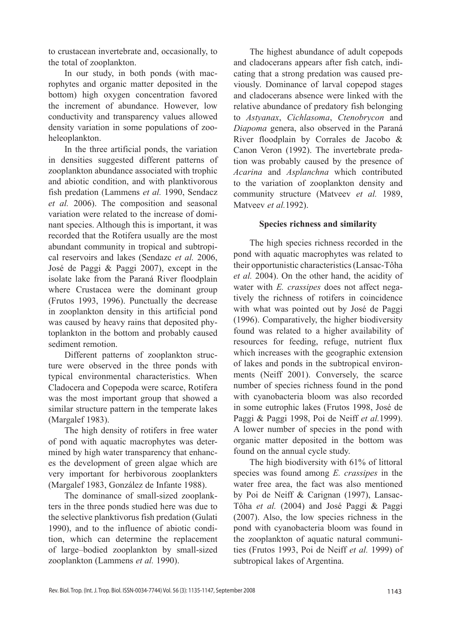to crustacean invertebrate and, occasionally, to the total of zooplankton.

In our study, in both ponds (with macrophytes and organic matter deposited in the bottom) high oxygen concentration favored the increment of abundance. However, low conductivity and transparency values allowed density variation in some populations of zooheleoplankton.

In the three artificial ponds, the variation in densities suggested different patterns of zooplankton abundance associated with trophic and abiotic condition, and with planktivorous fish predation (Lammens *et al.* 1990, Sendacz *et al.* 2006). The composition and seasonal variation were related to the increase of dominant species. Although this is important, it was recorded that the Rotifera usually are the most abundant community in tropical and subtropical reservoirs and lakes (Sendazc *et al.* 2006, José de Paggi & Paggi 2007), except in the isolate lake from the Paraná River floodplain where Crustacea were the dominant group (Frutos 1993, 1996). Punctually the decrease in zooplankton density in this artificial pond was caused by heavy rains that deposited phytoplankton in the bottom and probably caused sediment remotion.

Different patterns of zooplankton structure were observed in the three ponds with typical environmental characteristics. When Cladocera and Copepoda were scarce, Rotifera was the most important group that showed a similar structure pattern in the temperate lakes (Margalef 1983).

The high density of rotifers in free water of pond with aquatic macrophytes was determined by high water transparency that enhances the development of green algae which are very important for herbivorous zooplankters (Margalef 1983, González de Infante 1988).

The dominance of small-sized zooplankters in the three ponds studied here was due to the selective planktivorus fish predation (Gulati 1990), and to the influence of abiotic condition, which can determine the replacement of large–bodied zooplankton by small-sized zooplankton (Lammens *et al.* 1990).

The highest abundance of adult copepods and cladocerans appears after fish catch, indicating that a strong predation was caused previously. Dominance of larval copepod stages and cladocerans absence were linked with the relative abundance of predatory fish belonging to *Astyanax*, *Cichlasoma*, *Ctenobrycon* and *Diapoma* genera, also observed in the Paraná River floodplain by Corrales de Jacobo & Canon Veron (1992). The invertebrate predation was probably caused by the presence of *Acarina* and *Asplanchna* which contributed to the variation of zooplankton density and community structure (Matveev *et al.* 1989, Matveev *et al.*1992).

# **Species richness and similarity**

The high species richness recorded in the pond with aquatic macrophytes was related to their opportunistic characteristics (Lansac-Tôha *et al.* 2004). On the other hand, the acidity of water with *E. crassipes* does not affect negatively the richness of rotifers in coincidence with what was pointed out by José de Paggi (1996). Comparatively, the higher biodiversity found was related to a higher availability of resources for feeding, refuge, nutrient flux which increases with the geographic extension of lakes and ponds in the subtropical environments (Neiff 2001). Conversely, the scarce number of species richness found in the pond with cyanobacteria bloom was also recorded in some eutrophic lakes (Frutos 1998, José de Paggi & Paggi 1998, Poi de Neiff *et al.*1999). A lower number of species in the pond with organic matter deposited in the bottom was found on the annual cycle study.

The high biodiversity with 61% of littoral species was found among *E. crassipes* in the water free area, the fact was also mentioned by Poi de Neiff & Carignan (1997), Lansac-Tôha *et al.* (2004) and José Paggi & Paggi (2007). Also, the low species richness in the pond with cyanobacteria bloom was found in the zooplankton of aquatic natural communities (Frutos 1993, Poi de Neiff *et al.* 1999) of subtropical lakes of Argentina.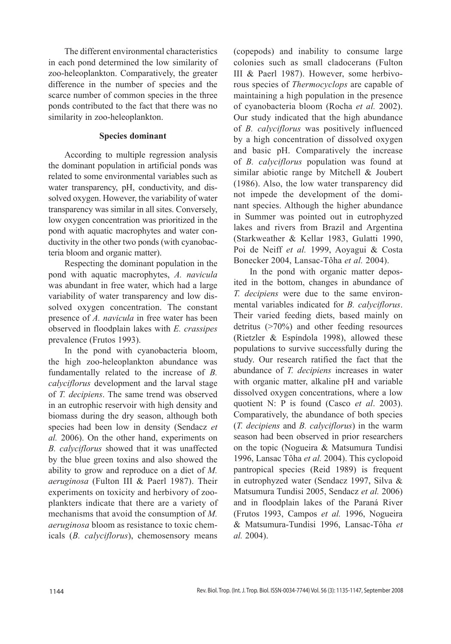The different environmental characteristics in each pond determined the low similarity of zoo-heleoplankton. Comparatively, the greater difference in the number of species and the scarce number of common species in the three ponds contributed to the fact that there was no similarity in zoo-heleoplankton.

## **Species dominant**

According to multiple regression analysis the dominant population in artificial ponds was related to some environmental variables such as water transparency, pH, conductivity, and dissolved oxygen. However, the variability of water transparency was similar in all sites. Conversely, low oxygen concentration was prioritized in the pond with aquatic macrophytes and water conductivity in the other two ponds (with cyanobacteria bloom and organic matter).

Respecting the dominant population in the pond with aquatic macrophytes, *A. navicula* was abundant in free water, which had a large variability of water transparency and low dissolved oxygen concentration. The constant presence of *A. navicula* in free water has been observed in floodplain lakes with *E. crassipes*  prevalence (Frutos 1993).

In the pond with cyanobacteria bloom, the high zoo-heleoplankton abundance was fundamentally related to the increase of *B. calyciflorus* development and the larval stage of *T. decipiens*. The same trend was observed in an eutrophic reservoir with high density and biomass during the dry season, although both species had been low in density (Sendacz *et al.* 2006). On the other hand, experiments on *B. calyciflorus* showed that it was unaffected by the blue green toxins and also showed the ability to grow and reproduce on a diet of *M. aeruginosa* (Fulton III & Paerl 1987). Their experiments on toxicity and herbivory of zooplankters indicate that there are a variety of mechanisms that avoid the consumption of *M. aeruginosa* bloom as resistance to toxic chemicals (*B. calyciflorus*), chemosensory means

(copepods) and inability to consume large colonies such as small cladocerans (Fulton III & Paerl 1987). However, some herbivorous species of *Thermocyclops* are capable of maintaining a high population in the presence of cyanobacteria bloom (Rocha *et al.* 2002). Our study indicated that the high abundance of *B. calyciflorus* was positively influenced by a high concentration of dissolved oxygen and basic pH. Comparatively the increase of *B. calyciflorus* population was found at similar abiotic range by Mitchell & Joubert (1986). Also, the low water transparency did not impede the development of the dominant species. Although the higher abundance in Summer was pointed out in eutrophyzed lakes and rivers from Brazil and Argentina (Starkweather & Kellar 1983, Gulatti 1990, Poi de Neiff *et al.* 1999, Aoyagui & Costa Bonecker 2004, Lansac-Tôha *et al.* 2004).

In the pond with organic matter deposited in the bottom, changes in abundance of *T. decipiens* were due to the same environmental variables indicated for *B. calyciflorus*. Their varied feeding diets, based mainly on detritus (>70%) and other feeding resources (Rietzler & Espíndola 1998), allowed these populations to survive successfully during the study. Our research ratified the fact that the abundance of *T. decipiens* increases in water with organic matter, alkaline pH and variable dissolved oxygen concentrations, where a low quotient N: P is found (Casco *et al*. 2003). Comparatively, the abundance of both species (*T. decipiens* and *B. calyciflorus*) in the warm season had been observed in prior researchers on the topic (Nogueira & Matsumura Tundisi 1996, Lansac Tôha *et al.* 2004). This cyclopoid pantropical species (Reid 1989) is frequent in eutrophyzed water (Sendacz 1997, Silva & Matsumura Tundisi 2005, Sendacz *et al.* 2006) and in floodplain lakes of the Paraná River (Frutos 1993, Campos *et al.* 1996, Nogueira & Matsumura-Tundisi 1996, Lansac-Tôha *et al.* 2004).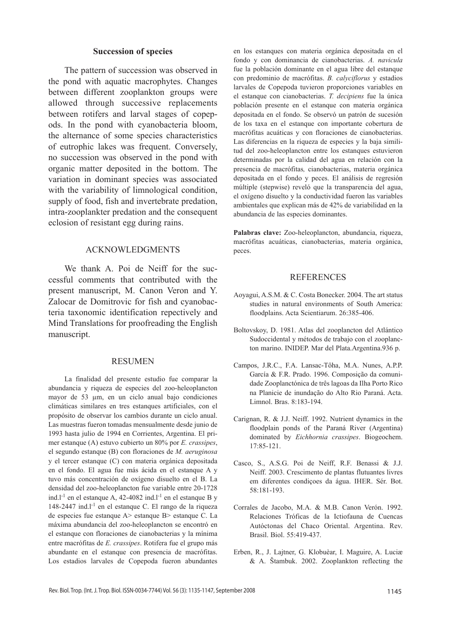#### **Succession of species**

The pattern of succession was observed in the pond with aquatic macrophytes. Changes between different zooplankton groups were allowed through successive replacements between rotifers and larval stages of copepods. In the pond with cyanobacteria bloom, the alternance of some species characteristics of eutrophic lakes was frequent. Conversely, no succession was observed in the pond with organic matter deposited in the bottom. The variation in dominant species was associated with the variability of limnological condition, supply of food, fish and invertebrate predation, intra-zooplankter predation and the consequent eclosion of resistant egg during rains.

### ACKNOWLEDGMENTS

We thank A. Poi de Neiff for the successful comments that contributed with the present manuscript, M. Canon Veron and Y. Zalocar de Domitrovic for fish and cyanobacteria taxonomic identification repectively and Mind Translations for proofreading the English manuscript.

#### **RESUMEN**

La finalidad del presente estudio fue comparar la abundancia y riqueza de especies del zoo-heleoplancton mayor de 53 µm, en un ciclo anual bajo condiciones climáticas similares en tres estanques artificiales, con el propósito de observar los cambios durante un ciclo anual. Las muestras fueron tomadas mensualmente desde junio de 1993 hasta julio de 1994 en Corrientes, Argentina. El primer estanque (A) estuvo cubierto un 80% por *E. crassipes*, el segundo estanque (B) con floraciones de *M. aeruginosa* y el tercer estanque (C) con materia orgánica depositada en el fondo. El agua fue más ácida en el estanque A y tuvo más concentración de oxígeno disuelto en el B. La densidad del zoo-heleoplancton fue variable entre 20-1728 ind.l<sup>-1</sup> en el estanque A, 42-4082 ind.l<sup>-1</sup> en el estanque B y 148-2447 ind.l-1 en el estanque C. El rango de la riqueza de especies fue estanque A> estanque B> estanque C. La máxima abundancia del zoo-heleoplancton se encontró en el estanque con floraciones de cianobacterias y la mínima entre macrófitas de *E. crassipes*. Rotifera fue el grupo más abundante en el estanque con presencia de macrófitas. Los estadios larvales de Copepoda fueron abundantes

en los estanques con materia orgánica depositada en el fondo y con dominancia de cianobacterias. *A. navicula* fue la población dominante en el agua libre del estanque con predominio de macrófitas. *B. calyciflorus* y estadios larvales de Copepoda tuvieron proporciones variables en el estanque con cianobacterias. *T. decipiens* fue la única población presente en el estanque con materia orgánica depositada en el fondo. Se observó un patrón de sucesión de los taxa en el estanque con importante cobertura de macrófitas acuáticas y con floraciones de cianobacterias. Las diferencias en la riqueza de especies y la baja similitud del zoo-heleoplancton entre los estanques estuvieron determinadas por la calidad del agua en relación con la presencia de macrófitas*,* cianobacterias, materia orgánica depositada en el fondo y peces. El análisis de regresión múltiple (stepwise) reveló que la transparencia del agua, el oxígeno disuelto y la conductividad fueron las variables ambientales que explican más de 42% de variabilidad en la abundancia de las especies dominantes.

**Palabras clave:** Zoo-heleoplancton, abundancia, riqueza, macrófitas acuáticas, cianobacterias, materia orgánica, peces.

#### **REFERENCES**

- Aoyagui, A.S.M. & C. Costa Bonecker. 2004. The art status studies in natural environments of South America: floodplains. Acta Scientiarum. 26:385-406.
- Boltovskoy, D. 1981. Atlas del zooplancton del Atlántico Sudoccidental y métodos de trabajo con el zooplancton marino. INIDEP. Mar del Plata.Argentina.936 p.
- Campos, J.R.C., F.A. Lansac-Tôha, M.A. Nunes, A.P.P. García & F.R. Prado. 1996. Composição da comunidade Zooplanctónica de três lagoas da Ilha Porto Rico na Planicie de inundação do Alto Rio Paraná. Acta. Limnol. Bras. 8:183-194.
- Carignan, R. & J.J. Neiff. 1992. Nutrient dynamics in the floodplain ponds of the Paraná River (Argentina) dominated by *Eichhornia crassipes*. Biogeochem. 17:85-121.
- Casco, S., A.S.G. Poi de Neiff, R.F. Benassi & J.J. Neiff. 2003. Crescimento de plantas flutuantes livres em diferentes condiçoes da água. IHER. Sér. Bot. 58:181-193.
- Corrales de Jacobo, M.A. & M.B. Canon Verón. 1992. Relaciones Tróficas de la Ictiofauna de Cuencas Autóctonas del Chaco Oriental. Argentina. Rev. Brasil. Biol. 55:419-437.
- Erben, R., J. Lajtner, G. Klobuèar, I. Maguire, A. Luciæ & A. Štambuk. 2002. Zooplankton reflecting the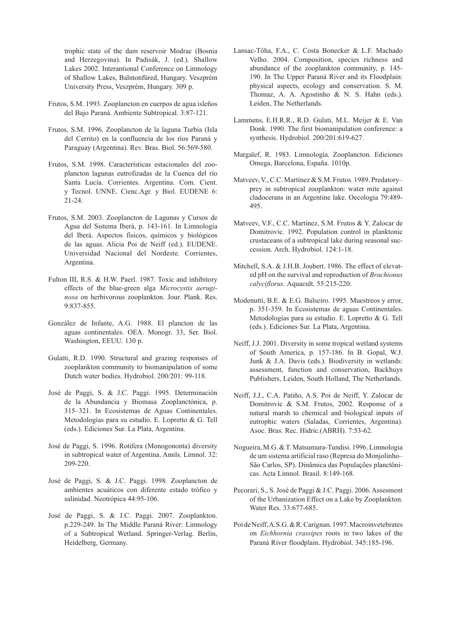trophic state of the dam reservoir Modrac (Bosnia and Herzegovina). In Padisák, J. (ed.). Shallow Lakes 2002. Interantional Conference on Limnology of Shallow Lakes, Balntonfüred, Hungary. Veszprém University Press, Veszprém, Hungary. 309 p.

- Frutos, S.M. 1993. Zooplancton en cuerpos de agua isleños del Bajo Paraná. Ambiente Subtropical. 3:87-121.
- Frutos, S.M. 1996. Zooplancton de la laguna Turbia (Isla del Cerrito) en la confluencia de los ríos Paraná y Paraguay (Argentina). Rev. Bras. Biol. 56:569-580.
- Frutos, S.M. 1998. Características estacionales del zooplancton lagunas eutrofizadas de la Cuenca del río Santa Lucía. Corrientes. Argentina. Com. Cient. y Tecnol. UNNE. Cienc.Agr. y Biol. EUDENE 6: 21-24.
- Frutos, S.M. 2003. Zooplancton de Lagunas y Cursos de Agua del Sistema Iberá, p. 143-161. In Limnología del Iberá. Aspectos físicos, químicos y biológicos de las aguas. Alicia Poi de Neiff (ed.). EUDENE. Universidad Nacional del Nordeste. Corrientes, Argentina.
- Fulton III, R.S. & H.W. Paerl. 1987. Toxic and inhibitory effects of the blue-green alga *Microcystis aeruginosa* on herbivorous zooplankton. Jour. Plank. Res. 9:837-855.
- González de Infante, A.G. 1988. El plancton de las aguas continentales. OEA. Monogr. 33, Ser. Biol. Washington, EEUU. 130 p.
- Gulatti, R.D. 1990. Structural and grazing responses of zooplankton community to biomanipulation of some Dutch water bodies. Hydrobiol. 200/201: 99-118.
- José de Paggi, S. & J.C. Paggi. 1995. Determinación de la Abundancia y Biomasa Zooplanctónica, p. 315–321. In Ecosistemas de Aguas Continentales. Metodologías para su estudio. E. Lopretto & G. Tell (eds.). Ediciones Sur. La Plata, Argentina.
- José de Paggi, S. 1996. Rotifera (Monogononta) diversity in subtropical water of Argentina. Annls. Limnol. 32: 209-220.
- José de Paggi, S. & J.C. Paggi. 1998. Zooplancton de ambientes acuáticos con diferente estado trófico y salinidad. Neotrópica 44:95-106.
- José de Paggi, S. & J.C. Paggi. 2007. Zooplankton. p.229-249. In The Middle Paraná River: Limnology of a Subtropical Wetland. Springer-Verlag. Berlin, Heidelberg, Germany.
- Lansac-Tôha, F.A., C. Costa Bonecker & L.F. Machado Velho. 2004. Composition, species richness and abundance of the zooplankton community, p. 145- 190. In The Upper Paraná River and its Floodplain: physical aspects, ecology and conservation. S. M. Thomaz, A. A. Agostinho & N. S. Hahn (eds.). Leiden, The Netherlands.
- Lammens, E.H.R.R., R.D. Gulati, M.L. Meijer & E. Van Donk. 1990. The first biomanipulation conference: a synthesis. Hydrobiol. 200/201:619-627.
- Margalef, R. 1983. Limnología. Zooplancton. Ediciones Omega, Barcelona, España. 1010p.
- Matveev, V., C.C. Martínez & S.M. Frutos. 1989. Predatory– prey in subtropical zooplankton: water mite against cladocerans in an Argentine lake. Oecologia 79:489- 495.
- Matveev, V.F., C.C. Martínez, S.M. Frutos & Y. Zalocar de Domitrovic. 1992. Population control in planktonic crustaceans of a subtropical lake during seasonal succession. Arch. Hydrobiol. 124:1-18.
- Mitchell, S.A. & J.H.B. Joubert. 1986. The effect of elevated pH on the survival and reproduction of *Brachionus calyciflorus*. Aquacult. 55:215-220.
- Modenutti, B.E. & E.G. Balseiro. 1995. Muestreos y error, p. 351-359. In Ecosistemas de aguas Continentales. Metodologías para su estudio. E. Lopretto & G. Tell (eds.). Ediciones Sur. La Plata, Argentina.
- Neiff, J.J. 2001. Diversity in some tropical wetland systems of South America, p. 157-186. In B. Gopal, W.J. Junk & J.A. Davis (eds.). Biodiversity in wetlands: assessment, function and conservation, Backhuys Publishers, Leiden, South Holland, The Netherlands.
- Neiff, J.J., C.A. Patiño, A.S. Poi de Neiff, Y. Zalocar de Domitrovic & S.M. Frutos, 2002. Response of a natural marsh to chemical and biological inputs of eutrophic waters (Saladas, Corrientes, Argentina). Asoc. Bras. Rec. Hidric.(ABRH). 7:53-62.
- Nogueira, M.G. & T. Matsumura-Tundisi. 1996. Limnologia de um sistema artificial raso (Represa do Monjolinho– São Carlos, SP). Dinâmica das Populações planctônicas. Acta Limnol. Brasil. 8:149-168.
- Pecorari, S., S. José de Paggi & J.C. Paggi. 2006. Assesment of the Urbanization Effect on a Lake by Zooplankton. Water Res. 33:677-685.
- Poi de Neiff, A.S.G. & R. Carignan. 1997. Macroinvetebrates on *Eichhornia crassipes* roots in two lakes of the Paraná River floodplain. Hydrobiol. 345:185-196.